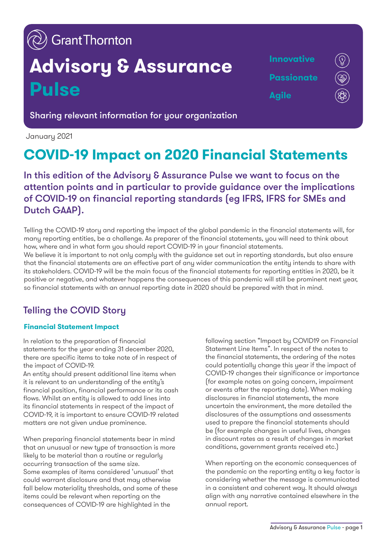# $\langle \!\!\!\langle \rangle\!\!\!\rangle$  GrantThornton

# **Advisory & Assurance Pulse**

**Innovative Passionate Agile**

Sharing relevant information for your organization

January 2021

## **COVID-19 Impact on 2020 Financial Statements**

In this edition of the Advisory & Assurance Pulse we want to focus on the attention points and in particular to provide guidance over the implications of COVID-19 on financial reporting standards (eg IFRS, IFRS for SMEs and Dutch GAAP).

Telling the COVID-19 story and reporting the impact of the global pandemic in the financial statements will, for many reporting entities, be a challenge. As preparer of the financial statements, you will need to think about how, where and in what form you should report COVID-19 in your financial statements.

We believe it is important to not only comply with the guidance set out in reporting standards, but also ensure that the financial statements are an effective part of any wider communication the entity intends to share with its stakeholders. COVID-19 will be the main focus of the financial statements for reporting entities in 2020, be it positive or negative, and whatever happens the consequences of this pandemic will still be prominent next year, so financial statements with an annual reporting date in 2020 should be prepared with that in mind.

## Telling the COVID Story

#### **Financial Statement Impact**

In relation to the preparation of financial statements for the year ending 31 december 2020, there are specific items to take note of in respect of the impact of COVID-19.

An entity should present additional line items when it is relevant to an understanding of the entity's financial position, financial performance or its cash flows. Whilst an entity is allowed to add lines into its financial statements in respect of the impact of COVID-19, it is important to ensure COVID-19 related matters are not given undue prominence.

When preparing financial statements bear in mind that an unusual or new type of transaction is more likely to be material than a routine or regularly occurring transaction of the same size. Some examples of items considered 'unusual' that could warrant disclosure and that may otherwise fall below materiality thresholds, and some of these items could be relevant when reporting on the consequences of COVID-19 are highlighted in the

following section "Impact by COVID19 on Financial Statement Line Items". In respect of the notes to the financial statements, the ordering of the notes could potentially change this year if the impact of COVID-19 changes their significance or importance (for example notes on going concern, impairment or events after the reporting date). When making disclosures in financial statements, the more uncertain the environment, the more detailed the disclosures of the assumptions and assessments used to prepare the financial statements should be (for example changes in useful lives, changes in discount rates as a result of changes in market conditions, government grants received etc.)

When reporting on the economic consequences of the pandemic on the reporting entity a key factor is considering whether the message is communicated in a consistent and coherent way. It should always align with any narrative contained elsewhere in the annual report.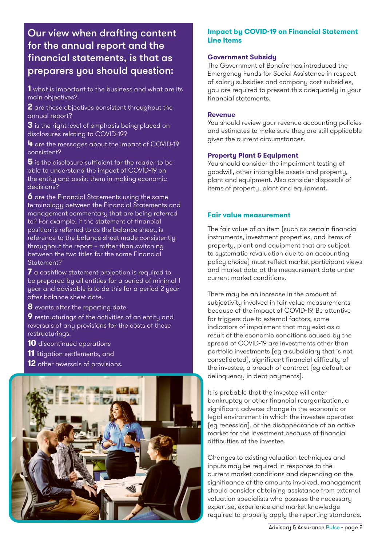### Our view when drafting content for the annual report and the financial statements, is that as preparers you should question:

**1** what is important to the business and what are its main objectives?

**2** are these objectives consistent throughout the annual report?

**3** is the right level of emphasis being placed on disclosures relating to COVID-19?

**4** are the messages about the impact of COVID-19 consistent?

**5** is the disclosure sufficient for the reader to be able to understand the impact of COVID-19 on the entity and assist them in making economic decisions?

**6** are the Financial Statements using the same terminology between the Financial Statements and management commentary that are being referred to? For example, if the statement of financial position is referred to as the balance sheet, is reference to the balance sheet made consistently throughout the report – rather than switching between the two titles for the same Financial Statement?

**7** a cashflow statement projection is required to be prepared by all entities for a period of minimal 1 year and advisable is to do this for a period 2 year after balance sheet date.

**8** events after the reporting date.

**9** restructurings of the activities of an entity and reversals of any provisions for the costs of these restructurings.

**10** discontinued operations

- **11** litigation settlements, and
- **12** other reversals of provisions.



#### **Impact by COVID-19 on Financial Statement Line Items**

#### **Government Subsidy**

The Government of Bonaire has introduced the Emergency Funds for Social Assistance in respect of salary subsidies and company cost subsidies, you are required to present this adequately in your financial statements.

#### **Revenue**

You should review your revenue accounting policies and estimates to make sure they are still applicable given the current circumstances.

#### **Property Plant & Equipment**

You should consider the impairment testing of goodwill, other intangible assets and property, plant and equipment. Also consider disposals of items of property, plant and equipment.

#### **Fair value measurement**

The fair value of an item (such as certain financial instruments, investment properties, and items of property, plant and equipment that are subject to systematic revaluation due to an accounting policy choice) must reflect market participant views and market data at the measurement date under current market conditions.

There may be an increase in the amount of subjectivity involved in fair value measurements because of the impact of COVID-19. Be attentive for triggers due to external factors, some indicators of impairment that may exist as a result of the economic conditions caused by the spread of COVID-19 are investments other than portfolio investments (eg a subsidiary that is not consolidated), significant financial difficulty of the investee, a breach of contract (eg default or delinquency in debt payments).

It is probable that the investee will enter bankruptcy or other financial reorganization, a significant adverse change in the economic or legal environment in which the investee operates (eg recession), or the disappearance of an active market for the investment because of financial difficulties of the investee.

Changes to existing valuation techniques and inputs may be required in response to the current market conditions and depending on the significance of the amounts involved, management should consider obtaining assistance from external valuation specialists who possess the necessary expertise, experience and market knowledge required to properly apply the reporting standards.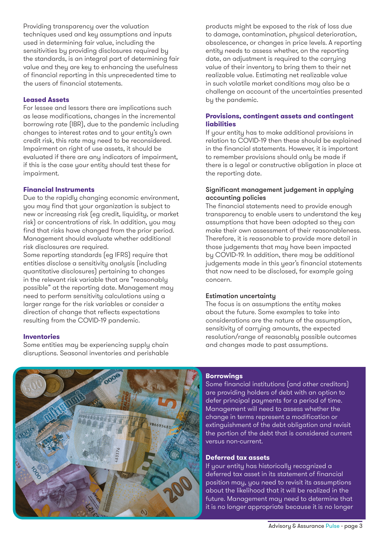Providing transparency over the valuation techniques used and key assumptions and inputs used in determining fair value, including the sensitivities by providing disclosures required by the standards, is an integral part of determining fair value and they are key to enhancing the usefulness of financial reporting in this unprecedented time to the users of financial statements.

#### **Leased Assets**

For lessee and lessors there are implications such as lease modifications, changes in the incremental borrowing rate (IBR), due to the pandemic including changes to interest rates and to your entity's own credit risk, this rate may need to be reconsidered. Impairment on right of use assets, it should be evaluated if there are any indicators of impairment, if this is the case your entity should test these for impairment.

#### **Financial Instruments**

Due to the rapidly changing economic environment, you may find that your organization is subject to new or increasing risk (eg credit, liquidity, or market risk) or concentrations of risk. In addition, you may find that risks have changed from the prior period. Management should evaluate whether additional risk disclosures are required.

Some reporting standards (eg IFRS) require that entities disclose a sensitivity analysis (including quantitative disclosures) pertaining to changes in the relevant risk variable that are "reasonably possible" at the reporting date. Management may need to perform sensitivity calculations using a larger range for the risk variables or consider a direction of change that reflects expectations resulting from the COVID-19 pandemic.

#### **Inventories**

Some entities may be experiencing supply chain disruptions. Seasonal inventories and perishable products might be exposed to the risk of loss due to damage, contamination, physical deterioration, obsolescence, or changes in price levels. A reporting entity needs to assess whether, on the reporting date, an adjustment is required to the carrying value of their inventory to bring them to their net realizable value. Estimating net realizable value in such volatile market conditions may also be a challenge on account of the uncertainties presented by the pandemic.

#### **Provisions, contingent assets and contingent liabilities**

If your entity has to make additional provisions in relation to COVID-19 then these should be explained in the financial statements. However, it is important to remember provisions should only be made if there is a legal or constructive obligation in place at the reporting date.

#### Significant management judgement in applying accounting policies

The financial statements need to provide enough transparency to enable users to understand the key assumptions that have been adopted so they can make their own assessment of their reasonableness. Therefore, it is reasonable to provide more detail in those judgements that may have been impacted by COVID-19. In addition, there may be additional judgements made in this year's financial statements that now need to be disclosed, for example going concern.

#### Estimation uncertainty

The focus is on assumptions the entity makes about the future. Some examples to take into considerations are the nature of the assumption, sensitivity of carrying amounts, the expected resolution/range of reasonably possible outcomes and changes made to past assumptions.



#### **Borrowings**

Some financial institutions (and other creditors) are providing holders of debt with an option to defer principal payments for a period of time. Management will need to assess whether the change in terms represent a modification or extinguishment of the debt obligation and revisit the portion of the debt that is considered current versus non-current.

#### **Deferred tax assets**

If your entity has historically recognized a deferred tax asset in its statement of financial position may, you need to revisit its assumptions about the likelihood that it will be realized in the future. Management may need to determine that it is no longer appropriate because it is no longer